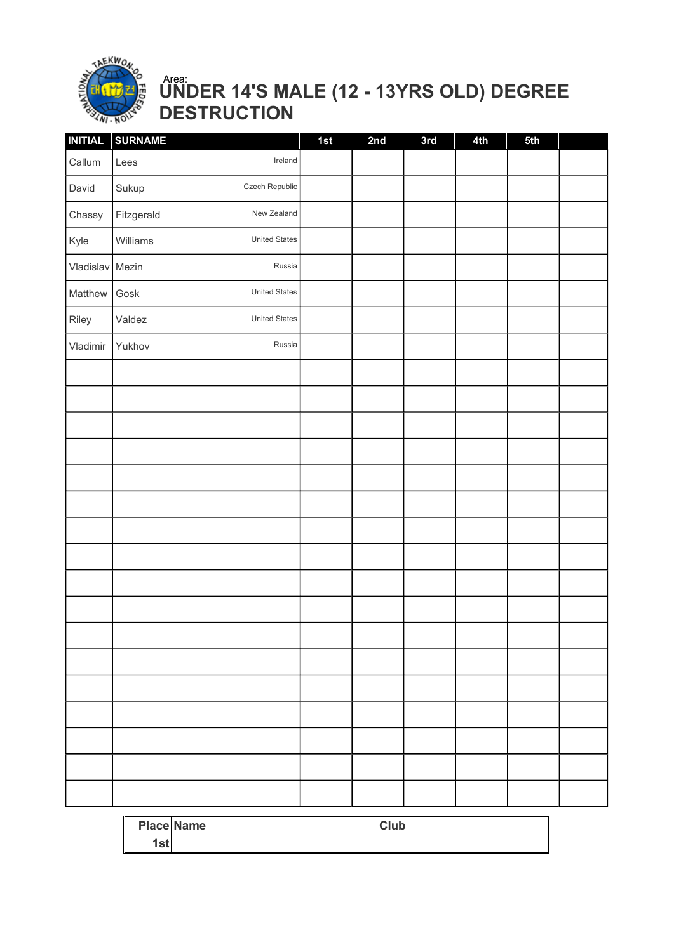

### UNDER 14'S MALE (12 - 13YRS OLD) DEGREE DESTRUCTION Area:

| <b>INITIAL</b> | <b>SURNAME</b> |                      | 1st | 2nd | 3rd | 4th | 5th |  |
|----------------|----------------|----------------------|-----|-----|-----|-----|-----|--|
| Callum         | Lees           | Ireland              |     |     |     |     |     |  |
| David          | Sukup          | Czech Republic       |     |     |     |     |     |  |
| Chassy         | Fitzgerald     | New Zealand          |     |     |     |     |     |  |
| Kyle           | Williams       | <b>United States</b> |     |     |     |     |     |  |
| Vladislav      | Mezin          | Russia               |     |     |     |     |     |  |
| Matthew        | Gosk           | United States        |     |     |     |     |     |  |
| Riley          | Valdez         | United States        |     |     |     |     |     |  |
| Vladimir       | Yukhov         | Russia               |     |     |     |     |     |  |
|                |                |                      |     |     |     |     |     |  |
|                |                |                      |     |     |     |     |     |  |
|                |                |                      |     |     |     |     |     |  |
|                |                |                      |     |     |     |     |     |  |
|                |                |                      |     |     |     |     |     |  |
|                |                |                      |     |     |     |     |     |  |
|                |                |                      |     |     |     |     |     |  |
|                |                |                      |     |     |     |     |     |  |
|                |                |                      |     |     |     |     |     |  |
|                |                |                      |     |     |     |     |     |  |
|                |                |                      |     |     |     |     |     |  |
|                |                |                      |     |     |     |     |     |  |
|                |                |                      |     |     |     |     |     |  |
|                |                |                      |     |     |     |     |     |  |
|                |                |                      |     |     |     |     |     |  |
|                |                |                      |     |     |     |     |     |  |
|                |                |                      |     |     |     |     |     |  |
|                |                |                      |     |     |     |     |     |  |

|              | <b>Place Name</b> | Club |
|--------------|-------------------|------|
| $\sim$<br>9. |                   |      |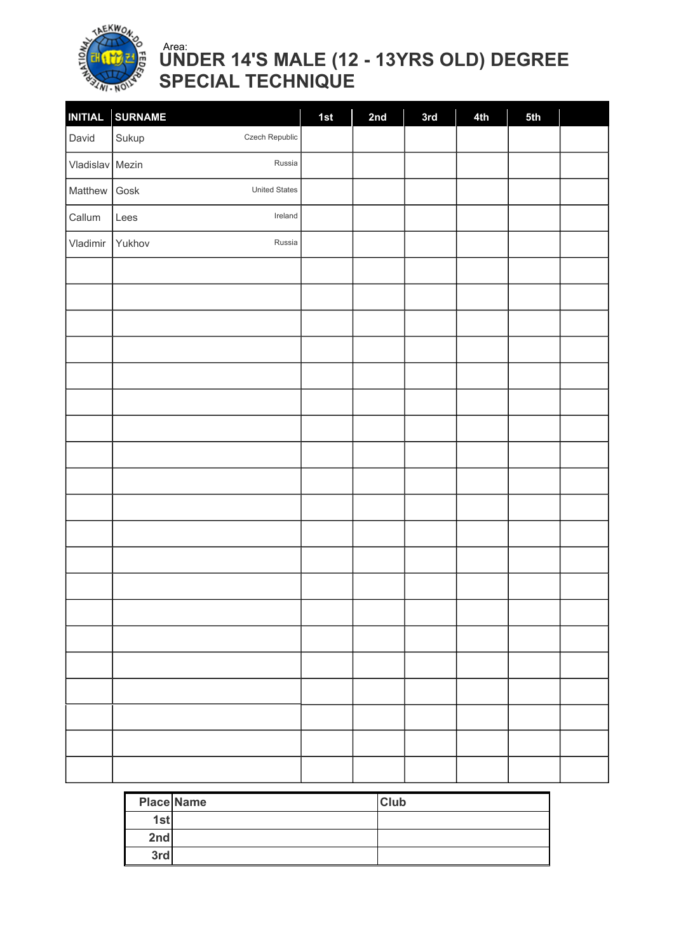

### UNDER 14'S MALE (12 - 13YRS OLD) DEGREE SPECIAL TECHNIQUE Area:

| <b>INITIAL</b>  | <b>SURNAME</b>                             | 1st | 2nd | 3rd | 4th | 5th |  |
|-----------------|--------------------------------------------|-----|-----|-----|-----|-----|--|
| David           | Czech Republic<br>Sukup                    |     |     |     |     |     |  |
| Vladislav Mezin | Russia                                     |     |     |     |     |     |  |
| Matthew         | United States<br>$\operatorname{\sf Gosk}$ |     |     |     |     |     |  |
| Callum          | Ireland<br>Lees                            |     |     |     |     |     |  |
| Vladimir        | Russia<br>Yukhov                           |     |     |     |     |     |  |
|                 |                                            |     |     |     |     |     |  |
|                 |                                            |     |     |     |     |     |  |
|                 |                                            |     |     |     |     |     |  |
|                 |                                            |     |     |     |     |     |  |
|                 |                                            |     |     |     |     |     |  |
|                 |                                            |     |     |     |     |     |  |
|                 |                                            |     |     |     |     |     |  |
|                 |                                            |     |     |     |     |     |  |
|                 |                                            |     |     |     |     |     |  |
|                 |                                            |     |     |     |     |     |  |
|                 |                                            |     |     |     |     |     |  |
|                 |                                            |     |     |     |     |     |  |
|                 |                                            |     |     |     |     |     |  |
|                 |                                            |     |     |     |     |     |  |
|                 |                                            |     |     |     |     |     |  |
|                 |                                            |     |     |     |     |     |  |
|                 |                                            |     |     |     |     |     |  |
|                 |                                            |     |     |     |     |     |  |
|                 |                                            |     |     |     |     |     |  |
|                 |                                            |     |     |     |     |     |  |

|     | <b>Place Name</b> | <b>Club</b> |
|-----|-------------------|-------------|
| 1st |                   |             |
| 2nd |                   |             |
| 3rd |                   |             |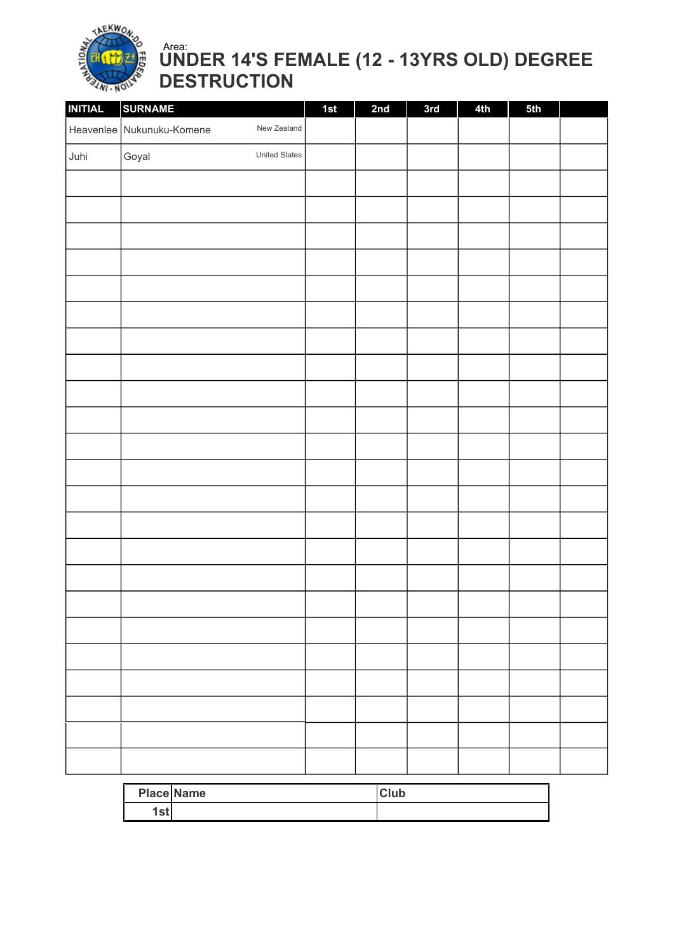

### UNDER 14'S FEMALE (12 - 13YRS OLD) DEGREE DESTRUCTION Area:

| <b>INITIAL</b> | <b>SURNAME</b>            |               | 1st | 2nd | 3rd | 4th | 5th |  |
|----------------|---------------------------|---------------|-----|-----|-----|-----|-----|--|
|                | Heavenlee Nukunuku-Komene | New Zealand   |     |     |     |     |     |  |
| Juhi           | Goyal                     | United States |     |     |     |     |     |  |
|                |                           |               |     |     |     |     |     |  |
|                |                           |               |     |     |     |     |     |  |
|                |                           |               |     |     |     |     |     |  |
|                |                           |               |     |     |     |     |     |  |
|                |                           |               |     |     |     |     |     |  |
|                |                           |               |     |     |     |     |     |  |
|                |                           |               |     |     |     |     |     |  |
|                |                           |               |     |     |     |     |     |  |
|                |                           |               |     |     |     |     |     |  |
|                |                           |               |     |     |     |     |     |  |
|                |                           |               |     |     |     |     |     |  |
|                |                           |               |     |     |     |     |     |  |
|                |                           |               |     |     |     |     |     |  |
|                |                           |               |     |     |     |     |     |  |
|                |                           |               |     |     |     |     |     |  |
|                |                           |               |     |     |     |     |     |  |
|                |                           |               |     |     |     |     |     |  |
|                |                           |               |     |     |     |     |     |  |
|                |                           |               |     |     |     |     |     |  |
|                |                           |               |     |     |     |     |     |  |
|                |                           |               |     |     |     |     |     |  |
|                |                           |               |     |     |     |     |     |  |
|                |                           |               |     |     |     |     |     |  |

|     | <b>Place Name</b> | <b>Club</b> |
|-----|-------------------|-------------|
| lst |                   |             |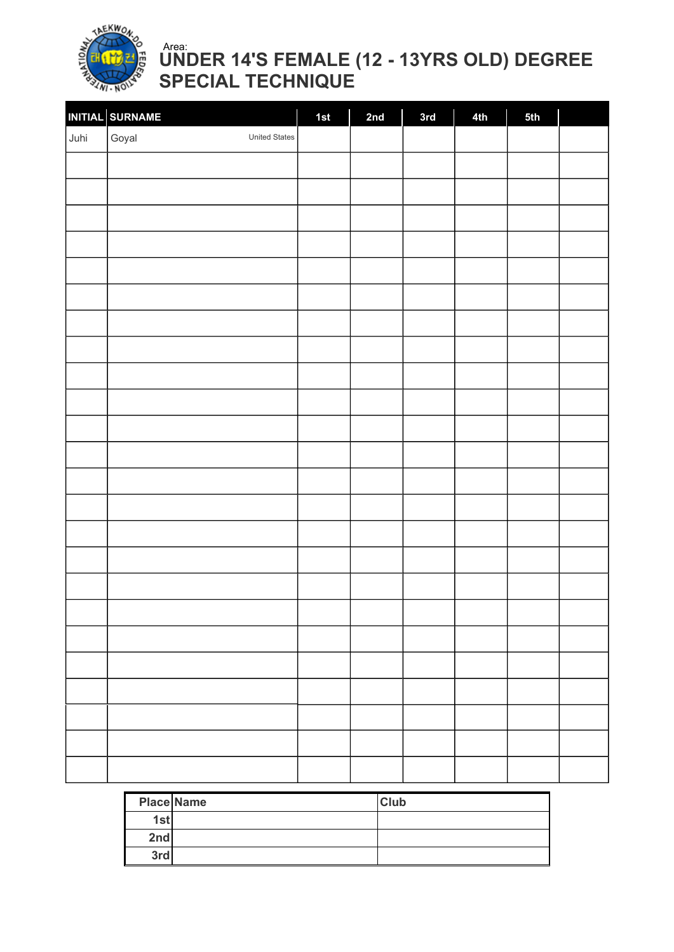

### UNDER 14'S FEMALE (12 - 13YRS OLD) DEGREE SPECIAL TECHNIQUE Area:

| INITIAL SURNAME<br>Goyal<br>Juhi<br>United States |
|---------------------------------------------------|
|                                                   |
|                                                   |
|                                                   |
|                                                   |
|                                                   |
|                                                   |
|                                                   |
|                                                   |
|                                                   |
|                                                   |
|                                                   |
|                                                   |
|                                                   |
|                                                   |
|                                                   |
|                                                   |
|                                                   |
|                                                   |
|                                                   |
|                                                   |
|                                                   |
|                                                   |
|                                                   |
|                                                   |
|                                                   |
|                                                   |

|     | <b>Place Name</b> | <b>Club</b> |
|-----|-------------------|-------------|
| 1st |                   |             |
| 2nd |                   |             |
| 3rd |                   |             |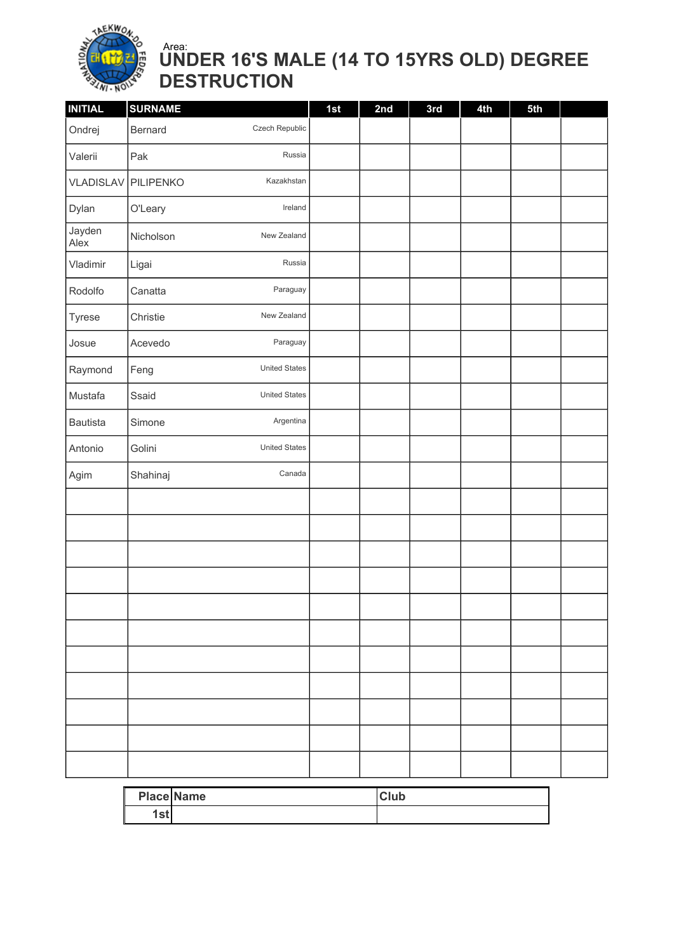

### UNDER 16'S MALE (14 TO 15YRS OLD) DEGREE DESTRUCTION Area:

| <b>INITIAL</b>  | <b>SURNAME</b> |                      | 1st | 2nd | 3rd | 4th | 5th |  |
|-----------------|----------------|----------------------|-----|-----|-----|-----|-----|--|
| Ondrej          | Bernard        | Czech Republic       |     |     |     |     |     |  |
| Valerii         | Pak            | Russia               |     |     |     |     |     |  |
| VLADISLAV       | PILIPENKO      | Kazakhstan           |     |     |     |     |     |  |
| Dylan           | O'Leary        | Ireland              |     |     |     |     |     |  |
| Jayden<br>Alex  | Nicholson      | New Zealand          |     |     |     |     |     |  |
| Vladimir        | Ligai          | Russia               |     |     |     |     |     |  |
| Rodolfo         | Canatta        | Paraguay             |     |     |     |     |     |  |
| Tyrese          | Christie       | New Zealand          |     |     |     |     |     |  |
| Josue           | Acevedo        | Paraguay             |     |     |     |     |     |  |
| Raymond         | Feng           | <b>United States</b> |     |     |     |     |     |  |
| Mustafa         | Ssaid          | <b>United States</b> |     |     |     |     |     |  |
| <b>Bautista</b> | Simone         | Argentina            |     |     |     |     |     |  |
| Antonio         | Golini         | <b>United States</b> |     |     |     |     |     |  |
| Agim            | Shahinaj       | Canada               |     |     |     |     |     |  |
|                 |                |                      |     |     |     |     |     |  |
|                 |                |                      |     |     |     |     |     |  |
|                 |                |                      |     |     |     |     |     |  |
|                 |                |                      |     |     |     |     |     |  |
|                 |                |                      |     |     |     |     |     |  |
|                 |                |                      |     |     |     |     |     |  |
|                 |                |                      |     |     |     |     |     |  |
|                 |                |                      |     |     |     |     |     |  |
|                 |                |                      |     |     |     |     |     |  |
|                 |                |                      |     |     |     |     |     |  |
|                 |                |                      |     |     |     |     |     |  |

|                     | <b>Place Name</b> | <b>Club</b> |
|---------------------|-------------------|-------------|
| $^{\circ+}$<br>ו סנ |                   |             |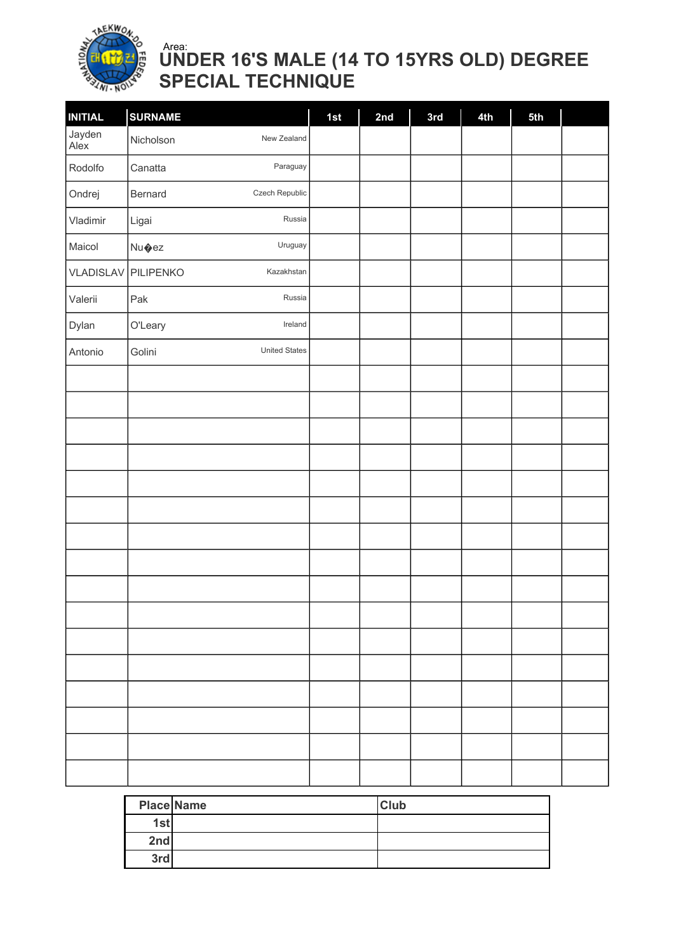

### UNDER 16'S MALE (14 TO 15YRS OLD) DEGREE SPECIAL TECHNIQUE Area:

| <b>INITIAL</b> | <b>SURNAME</b>                 | 1st | 2nd | 3rd | 4th | 5th |  |
|----------------|--------------------------------|-----|-----|-----|-----|-----|--|
| Jayden<br>Alex | New Zealand<br>Nicholson       |     |     |     |     |     |  |
| Rodolfo        | Paraguay<br>Canatta            |     |     |     |     |     |  |
| Ondrej         | Czech Republic<br>Bernard      |     |     |     |     |     |  |
| Vladimir       | Russia<br>Ligai                |     |     |     |     |     |  |
| Maicol         | Uruguay<br>Nu�ez               |     |     |     |     |     |  |
| VLADISLAV      | PILIPENKO<br>Kazakhstan        |     |     |     |     |     |  |
| Valerii        | Pak<br>Russia                  |     |     |     |     |     |  |
| Dylan          | O'Leary<br>Ireland             |     |     |     |     |     |  |
| Antonio        | Golini<br><b>United States</b> |     |     |     |     |     |  |
|                |                                |     |     |     |     |     |  |
|                |                                |     |     |     |     |     |  |
|                |                                |     |     |     |     |     |  |
|                |                                |     |     |     |     |     |  |
|                |                                |     |     |     |     |     |  |
|                |                                |     |     |     |     |     |  |
|                |                                |     |     |     |     |     |  |
|                |                                |     |     |     |     |     |  |
|                |                                |     |     |     |     |     |  |
|                |                                |     |     |     |     |     |  |
|                |                                |     |     |     |     |     |  |
|                |                                |     |     |     |     |     |  |
|                |                                |     |     |     |     |     |  |
|                |                                |     |     |     |     |     |  |
|                |                                |     |     |     |     |     |  |
|                |                                |     |     |     |     |     |  |

|     | <b>Place Name</b> | <b>Club</b> |
|-----|-------------------|-------------|
| 1st |                   |             |
| 2nd |                   |             |
| 3rd |                   |             |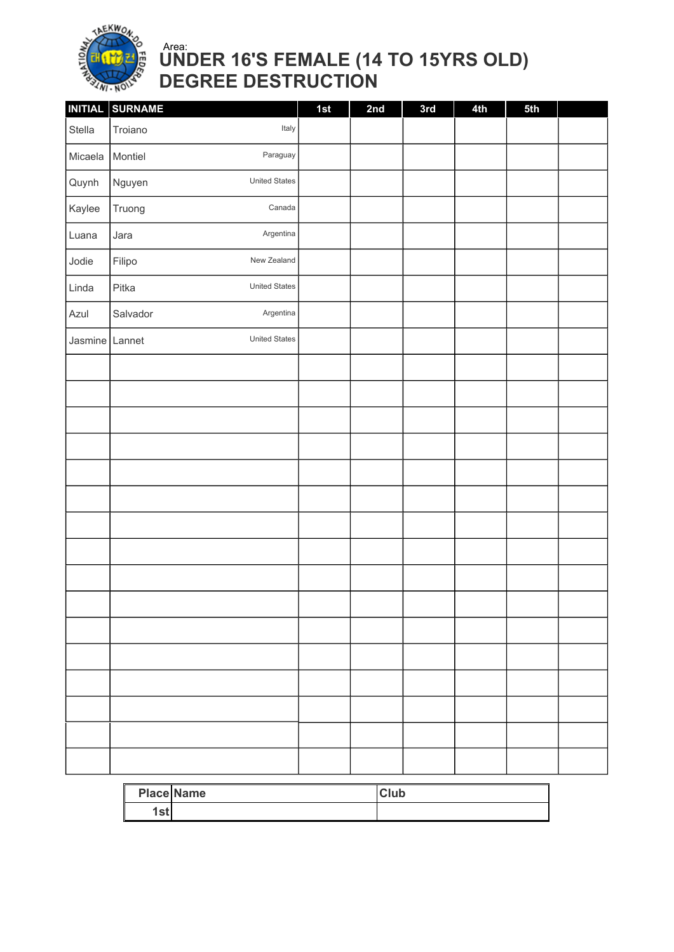

### UNDER 16'S FEMALE (14 TO 15YRS OLD) DEGREE DESTRUCTION Area:

|                | INITIAL SURNAME |                      | 1st | 2nd | 3rd | 4th | 5th |  |
|----------------|-----------------|----------------------|-----|-----|-----|-----|-----|--|
| Stella         | Troiano         | Italy                |     |     |     |     |     |  |
| Micaela        | Montiel         | Paraguay             |     |     |     |     |     |  |
| Quynh          | Nguyen          | <b>United States</b> |     |     |     |     |     |  |
| Kaylee         | Truong          | Canada               |     |     |     |     |     |  |
| Luana          | Jara            | Argentina            |     |     |     |     |     |  |
| Jodie          | Filipo          | New Zealand          |     |     |     |     |     |  |
| Linda          | Pitka           | <b>United States</b> |     |     |     |     |     |  |
| Azul           | Salvador        | Argentina            |     |     |     |     |     |  |
| Jasmine Lannet |                 | <b>United States</b> |     |     |     |     |     |  |
|                |                 |                      |     |     |     |     |     |  |
|                |                 |                      |     |     |     |     |     |  |
|                |                 |                      |     |     |     |     |     |  |
|                |                 |                      |     |     |     |     |     |  |
|                |                 |                      |     |     |     |     |     |  |
|                |                 |                      |     |     |     |     |     |  |
|                |                 |                      |     |     |     |     |     |  |
|                |                 |                      |     |     |     |     |     |  |
|                |                 |                      |     |     |     |     |     |  |
|                |                 |                      |     |     |     |     |     |  |
|                |                 |                      |     |     |     |     |     |  |
|                |                 |                      |     |     |     |     |     |  |
|                |                 |                      |     |     |     |     |     |  |
|                |                 |                      |     |     |     |     |     |  |
|                |                 |                      |     |     |     |     |     |  |
|                |                 |                      |     |     |     |     |     |  |

|               | <b>Place Name</b> | <b>Club</b> |
|---------------|-------------------|-------------|
| l e f<br>ו סנ |                   |             |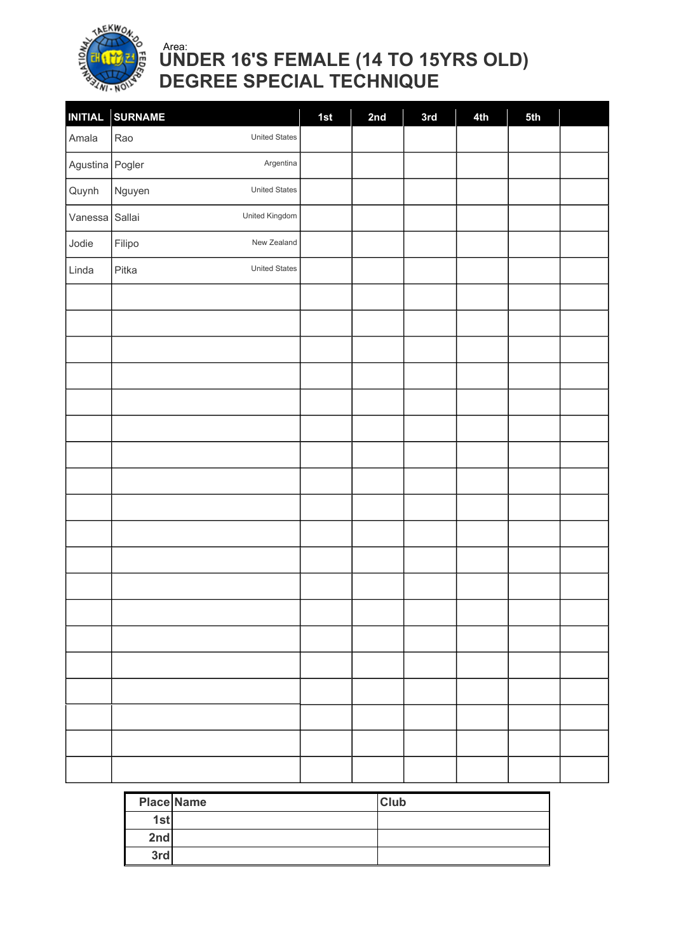

### UNDER 16'S FEMALE (14 TO 15YRS OLD) DEGREE SPECIAL TECHNIQUE Area:

|                 | INITIAL SURNAME                | 1st | 2nd | 3rd | 4th | 5th |  |
|-----------------|--------------------------------|-----|-----|-----|-----|-----|--|
| Amala           | <b>United States</b><br>Rao    |     |     |     |     |     |  |
| Agustina Pogler | Argentina                      |     |     |     |     |     |  |
| Quynh           | <b>United States</b><br>Nguyen |     |     |     |     |     |  |
| Vanessa Sallai  | United Kingdom                 |     |     |     |     |     |  |
| Jodie           | New Zealand<br>Filipo          |     |     |     |     |     |  |
| Linda           | United States<br>Pitka         |     |     |     |     |     |  |
|                 |                                |     |     |     |     |     |  |
|                 |                                |     |     |     |     |     |  |
|                 |                                |     |     |     |     |     |  |
|                 |                                |     |     |     |     |     |  |
|                 |                                |     |     |     |     |     |  |
|                 |                                |     |     |     |     |     |  |
|                 |                                |     |     |     |     |     |  |
|                 |                                |     |     |     |     |     |  |
|                 |                                |     |     |     |     |     |  |
|                 |                                |     |     |     |     |     |  |
|                 |                                |     |     |     |     |     |  |
|                 |                                |     |     |     |     |     |  |
|                 |                                |     |     |     |     |     |  |
|                 |                                |     |     |     |     |     |  |
|                 |                                |     |     |     |     |     |  |
|                 |                                |     |     |     |     |     |  |
|                 |                                |     |     |     |     |     |  |
|                 |                                |     |     |     |     |     |  |
|                 |                                |     |     |     |     |     |  |

|     | <b>Place Name</b> | <b>Club</b> |
|-----|-------------------|-------------|
| 1st |                   |             |
| 2nd |                   |             |
| 3rd |                   |             |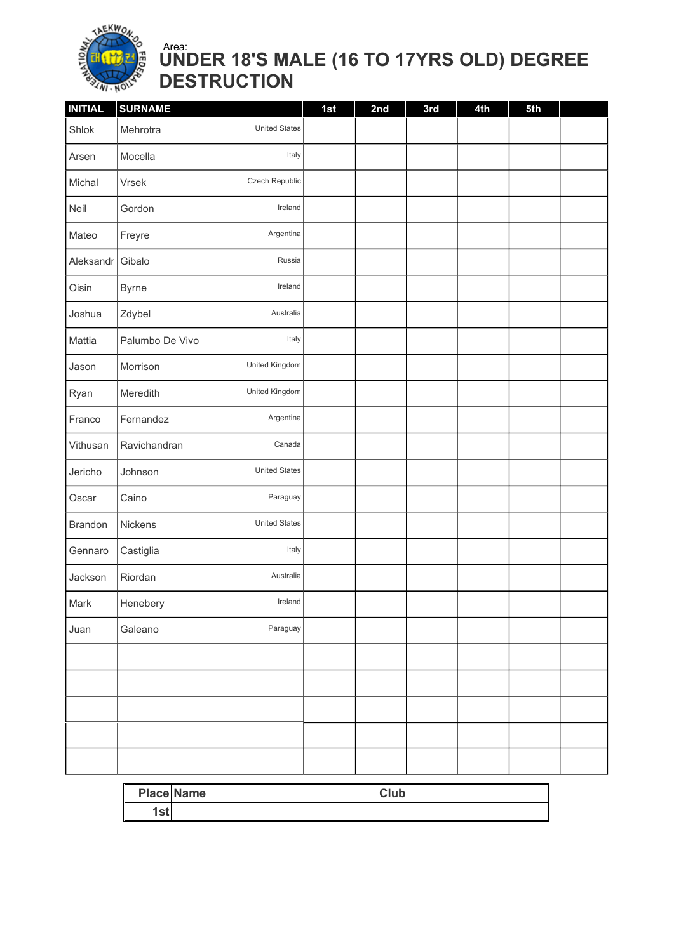

### UNDER 18'S MALE (16 TO 17YRS OLD) DEGREE DESTRUCTION Area:

| <b>INITIAL</b> | <b>SURNAME</b>                   | 1st | 2nd | 3rd | 4th | 5th |  |
|----------------|----------------------------------|-----|-----|-----|-----|-----|--|
| Shlok          | <b>United States</b><br>Mehrotra |     |     |     |     |     |  |
| Arsen          | Italy<br>Mocella                 |     |     |     |     |     |  |
| Michal         | Czech Republic<br>Vrsek          |     |     |     |     |     |  |
| Neil           | Ireland<br>Gordon                |     |     |     |     |     |  |
| Mateo          | Argentina<br>Freyre              |     |     |     |     |     |  |
| Aleksandr      | Russia<br>Gibalo                 |     |     |     |     |     |  |
| Oisin          | Ireland<br><b>Byrne</b>          |     |     |     |     |     |  |
| Joshua         | Zdybel<br>Australia              |     |     |     |     |     |  |
| Mattia         | Italy<br>Palumbo De Vivo         |     |     |     |     |     |  |
| Jason          | United Kingdom<br>Morrison       |     |     |     |     |     |  |
| Ryan           | United Kingdom<br>Meredith       |     |     |     |     |     |  |
| Franco         | Argentina<br>Fernandez           |     |     |     |     |     |  |
| Vithusan       | Canada<br>Ravichandran           |     |     |     |     |     |  |
| Jericho        | <b>United States</b><br>Johnson  |     |     |     |     |     |  |
| Oscar          | Paraguay<br>Caino                |     |     |     |     |     |  |
| <b>Brandon</b> | <b>United States</b><br>Nickens  |     |     |     |     |     |  |
| Gennaro        | Italy<br>Castiglia               |     |     |     |     |     |  |
| Jackson        | Riordan<br>Australia             |     |     |     |     |     |  |
| Mark           | Henebery<br>Ireland              |     |     |     |     |     |  |
| Juan           | Paraguay<br>Galeano              |     |     |     |     |     |  |
|                |                                  |     |     |     |     |     |  |
|                |                                  |     |     |     |     |     |  |
|                |                                  |     |     |     |     |     |  |
|                |                                  |     |     |     |     |     |  |
|                |                                  |     |     |     |     |     |  |

|                         | <b>Place Name</b> | <b>Club</b> |
|-------------------------|-------------------|-------------|
| 1 <sub>0</sub><br>1 J L |                   |             |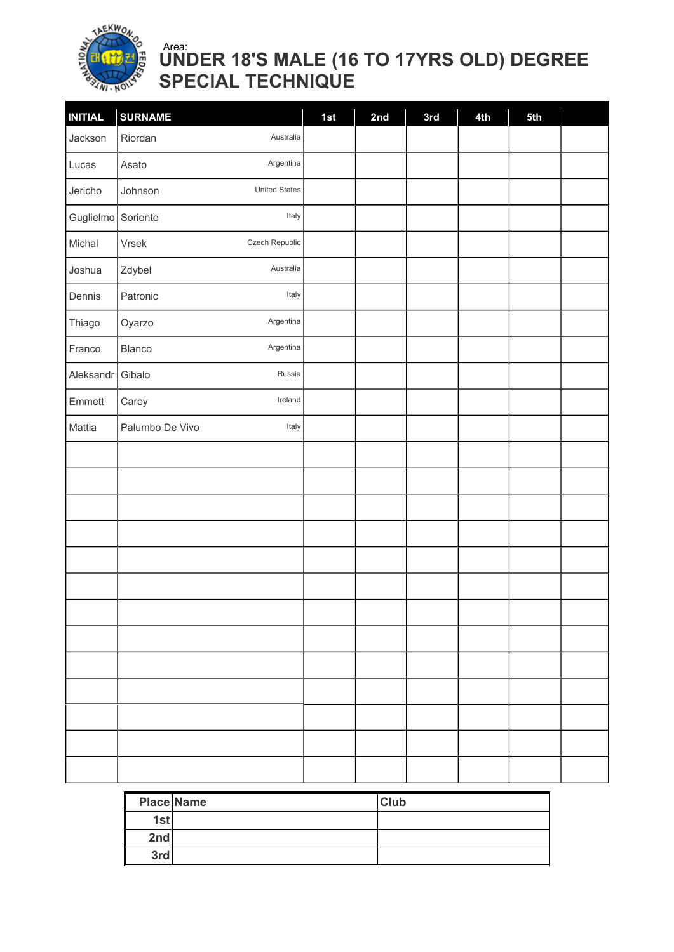

### UNDER 18'S MALE (16 TO 17YRS OLD) DEGREE SPECIAL TECHNIQUE Area:

| <b>INITIAL</b>     | <b>SURNAME</b>                  | 1st | 2nd | 3rd | 4th | 5th |  |
|--------------------|---------------------------------|-----|-----|-----|-----|-----|--|
| Jackson            | Australia<br>Riordan            |     |     |     |     |     |  |
| Lucas              | Argentina<br>Asato              |     |     |     |     |     |  |
| Jericho            | <b>United States</b><br>Johnson |     |     |     |     |     |  |
| Guglielmo Soriente | Italy                           |     |     |     |     |     |  |
| Michal             | Czech Republic<br>Vrsek         |     |     |     |     |     |  |
| Joshua             | Australia<br>Zdybel             |     |     |     |     |     |  |
| Dennis             | Patronic<br>Italy               |     |     |     |     |     |  |
| Thiago             | Argentina<br>Oyarzo             |     |     |     |     |     |  |
| Franco             | Argentina<br>Blanco             |     |     |     |     |     |  |
| Aleksandr          | Russia<br>Gibalo                |     |     |     |     |     |  |
| Emmett             | Ireland<br>Carey                |     |     |     |     |     |  |
| Mattia             | Italy<br>Palumbo De Vivo        |     |     |     |     |     |  |
|                    |                                 |     |     |     |     |     |  |
|                    |                                 |     |     |     |     |     |  |
|                    |                                 |     |     |     |     |     |  |
|                    |                                 |     |     |     |     |     |  |
|                    |                                 |     |     |     |     |     |  |
|                    |                                 |     |     |     |     |     |  |
|                    |                                 |     |     |     |     |     |  |
|                    |                                 |     |     |     |     |     |  |
|                    |                                 |     |     |     |     |     |  |
|                    |                                 |     |     |     |     |     |  |
|                    |                                 |     |     |     |     |     |  |
|                    |                                 |     |     |     |     |     |  |
|                    |                                 |     |     |     |     |     |  |

|     | <b>Place Name</b> | <b>Club</b> |
|-----|-------------------|-------------|
| 1st |                   |             |
| 2nd |                   |             |
| 3rd |                   |             |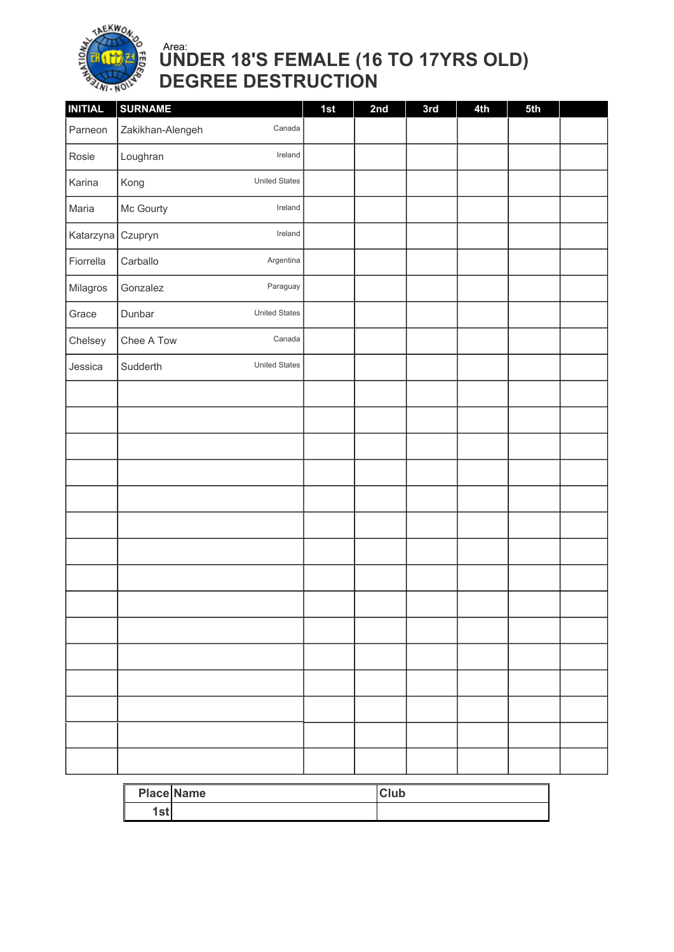

### UNDER 18'S FEMALE (16 TO 17YRS OLD) DEGREE DESTRUCTION Area:

| <b>INITIAL</b>    | <b>SURNAME</b>                   | 1st | 2nd | 3rd | 4th | 5th |  |
|-------------------|----------------------------------|-----|-----|-----|-----|-----|--|
| Parneon           | Zakikhan-Alengeh<br>Canada       |     |     |     |     |     |  |
| Rosie             | Ireland<br>Loughran              |     |     |     |     |     |  |
| Karina            | <b>United States</b><br>Kong     |     |     |     |     |     |  |
| Maria             | Ireland<br>Mc Gourty             |     |     |     |     |     |  |
| Katarzyna Czupryn | Ireland                          |     |     |     |     |     |  |
| Fiorrella         | Argentina<br>Carballo            |     |     |     |     |     |  |
| Milagros          | Paraguay<br>Gonzalez             |     |     |     |     |     |  |
| Grace             | <b>United States</b><br>Dunbar   |     |     |     |     |     |  |
| Chelsey           | Canada<br>Chee A Tow             |     |     |     |     |     |  |
| Jessica           | <b>United States</b><br>Sudderth |     |     |     |     |     |  |
|                   |                                  |     |     |     |     |     |  |
|                   |                                  |     |     |     |     |     |  |
|                   |                                  |     |     |     |     |     |  |
|                   |                                  |     |     |     |     |     |  |
|                   |                                  |     |     |     |     |     |  |
|                   |                                  |     |     |     |     |     |  |
|                   |                                  |     |     |     |     |     |  |
|                   |                                  |     |     |     |     |     |  |
|                   |                                  |     |     |     |     |     |  |
|                   |                                  |     |     |     |     |     |  |
|                   |                                  |     |     |     |     |     |  |
|                   |                                  |     |     |     |     |     |  |
|                   |                                  |     |     |     |     |     |  |
|                   |                                  |     |     |     |     |     |  |
|                   |                                  |     |     |     |     |     |  |

|             | <b>Place Name</b> | <b>Club</b> |
|-------------|-------------------|-------------|
| et.<br>ו זכ |                   |             |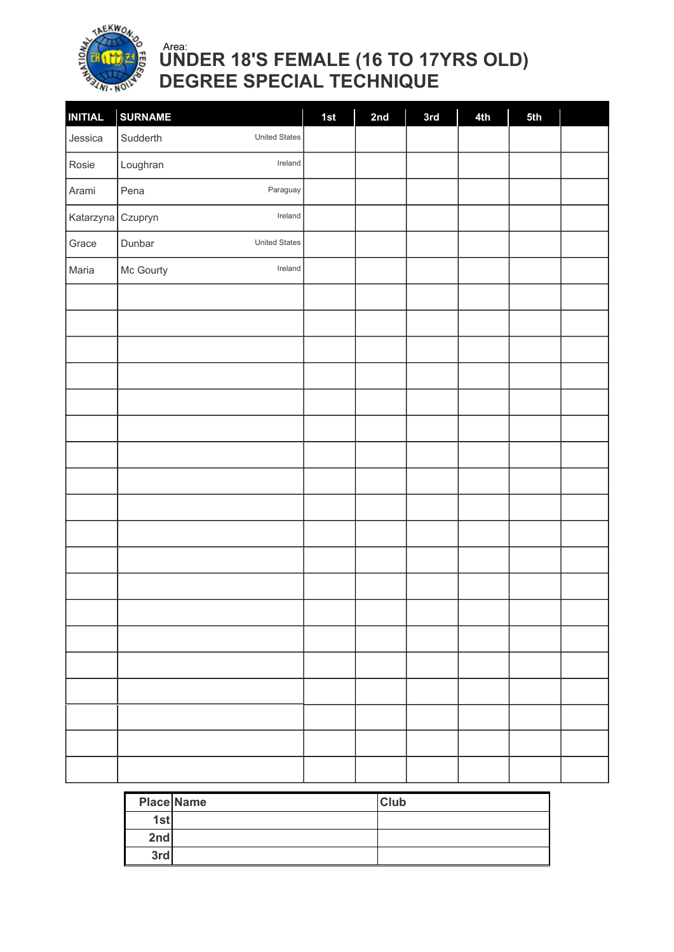

### UNDER 18'S FEMALE (16 TO 17YRS OLD) DEGREE SPECIAL TECHNIQUE Area:

| <b>INITIAL</b>    | <b>SURNAME</b>                   | 1st | 2nd | 3rd | 4th | 5th |  |
|-------------------|----------------------------------|-----|-----|-----|-----|-----|--|
| Jessica           | Sudderth<br><b>United States</b> |     |     |     |     |     |  |
| Rosie             | Loughran<br>Ireland              |     |     |     |     |     |  |
| Arami             | Paraguay<br>Pena                 |     |     |     |     |     |  |
| Katarzyna Czupryn | Ireland                          |     |     |     |     |     |  |
| Grace             | <b>United States</b><br>Dunbar   |     |     |     |     |     |  |
| Maria             | Mc Gourty<br>Ireland             |     |     |     |     |     |  |
|                   |                                  |     |     |     |     |     |  |
|                   |                                  |     |     |     |     |     |  |
|                   |                                  |     |     |     |     |     |  |
|                   |                                  |     |     |     |     |     |  |
|                   |                                  |     |     |     |     |     |  |
|                   |                                  |     |     |     |     |     |  |
|                   |                                  |     |     |     |     |     |  |
|                   |                                  |     |     |     |     |     |  |
|                   |                                  |     |     |     |     |     |  |
|                   |                                  |     |     |     |     |     |  |
|                   |                                  |     |     |     |     |     |  |
|                   |                                  |     |     |     |     |     |  |
|                   |                                  |     |     |     |     |     |  |
|                   |                                  |     |     |     |     |     |  |
|                   |                                  |     |     |     |     |     |  |
|                   |                                  |     |     |     |     |     |  |
|                   |                                  |     |     |     |     |     |  |
|                   |                                  |     |     |     |     |     |  |
|                   |                                  |     |     |     |     |     |  |

|     | <b>Place Name</b> | <b>Club</b> |
|-----|-------------------|-------------|
| 1st |                   |             |
| 2nd |                   |             |
| 3rd |                   |             |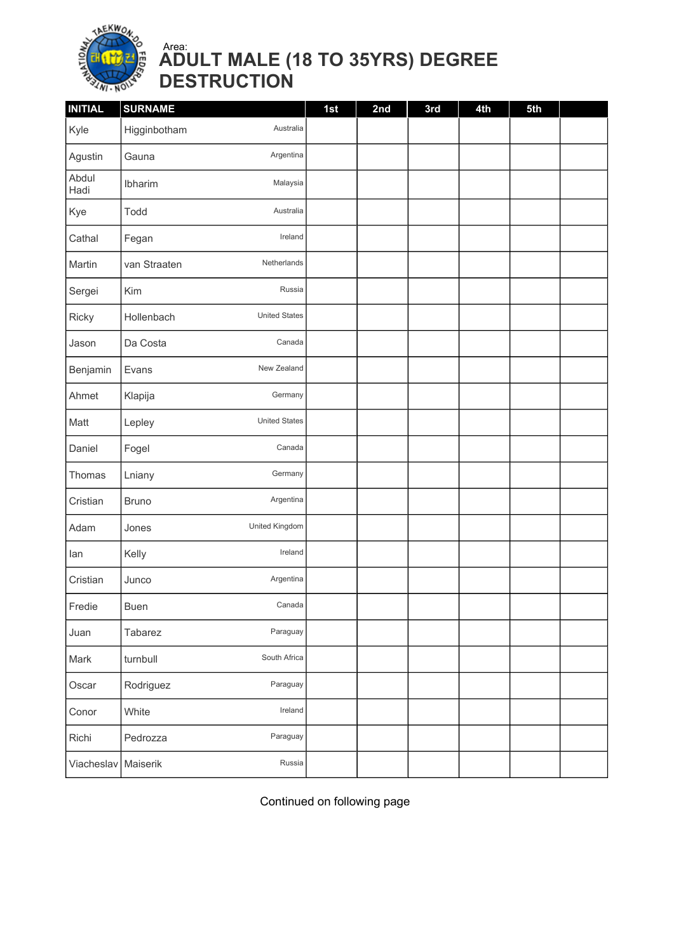

### ADULT MALE (18 TO 35YRS) DEGREE DESTRUCTION Area:

| <b>INITIAL</b> | <b>SURNAME</b>                     |           | 1st | 2nd | 3rd | 4th | 5th |  |
|----------------|------------------------------------|-----------|-----|-----|-----|-----|-----|--|
| Kyle           | Higginbotham                       | Australia |     |     |     |     |     |  |
| Agustin        | Gauna                              | Argentina |     |     |     |     |     |  |
| Abdul<br>Hadi  | Ibharim                            | Malaysia  |     |     |     |     |     |  |
| Kye            | Todd                               | Australia |     |     |     |     |     |  |
| Cathal         | Fegan                              | Ireland   |     |     |     |     |     |  |
| Martin         | Netherlands<br>van Straaten        |           |     |     |     |     |     |  |
| Sergei         | Kim                                | Russia    |     |     |     |     |     |  |
| Ricky          | <b>United States</b><br>Hollenbach |           |     |     |     |     |     |  |
| Jason          | Da Costa                           | Canada    |     |     |     |     |     |  |
| Benjamin       | New Zealand<br>Evans               |           |     |     |     |     |     |  |
| Ahmet          | Klapija                            | Germany   |     |     |     |     |     |  |
| Matt           | <b>United States</b><br>Lepley     |           |     |     |     |     |     |  |
| Daniel         | Fogel                              | Canada    |     |     |     |     |     |  |
| Thomas         | Lniany                             | Germany   |     |     |     |     |     |  |
| Cristian       | <b>Bruno</b>                       | Argentina |     |     |     |     |     |  |
| Adam           | United Kingdom<br>Jones            |           |     |     |     |     |     |  |
| lan            | Kelly                              | Ireland   |     |     |     |     |     |  |
| Cristian       | Junco                              | Argentina |     |     |     |     |     |  |
| Fredie         | Buen                               | Canada    |     |     |     |     |     |  |
| Juan           | Tabarez                            | Paraguay  |     |     |     |     |     |  |
| Mark           | South Africa<br>turnbull           |           |     |     |     |     |     |  |
| Oscar          | Rodriguez                          | Paraguay  |     |     |     |     |     |  |
| Conor          | White                              | Ireland   |     |     |     |     |     |  |
| Richi          | Pedrozza                           | Paraguay  |     |     |     |     |     |  |
| Viacheslav     | Maiserik                           | Russia    |     |     |     |     |     |  |

Continued on following page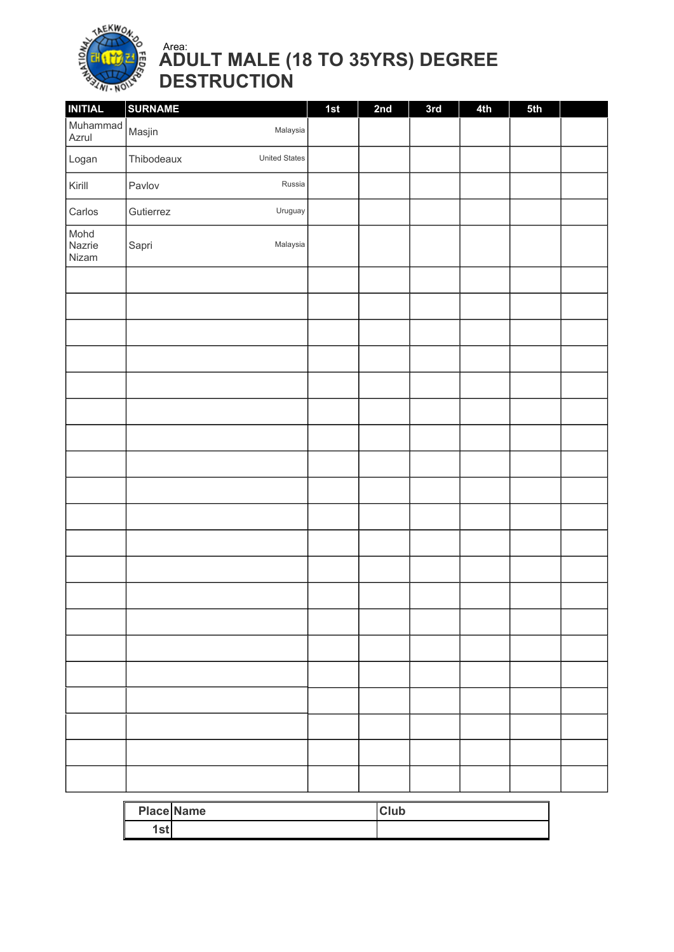

### ADULT MALE (18 TO 35YRS) DEGREE DESTRUCTION Area:

| <b>INITIAL</b>          | <b>SURNAME</b> |                      | 1st | 2nd | 3rd | 4th | 5th |  |
|-------------------------|----------------|----------------------|-----|-----|-----|-----|-----|--|
| Muhammad<br>Azrul       | Masjin         | Malaysia             |     |     |     |     |     |  |
| Logan                   | Thibodeaux     | <b>United States</b> |     |     |     |     |     |  |
| Kirill                  | Pavlov         | Russia               |     |     |     |     |     |  |
| Carlos                  | Gutierrez      | Uruguay              |     |     |     |     |     |  |
| Mohd<br>Nazrie<br>Nizam | Sapri          | Malaysia             |     |     |     |     |     |  |
|                         |                |                      |     |     |     |     |     |  |
|                         |                |                      |     |     |     |     |     |  |
|                         |                |                      |     |     |     |     |     |  |
|                         |                |                      |     |     |     |     |     |  |
|                         |                |                      |     |     |     |     |     |  |
|                         |                |                      |     |     |     |     |     |  |
|                         |                |                      |     |     |     |     |     |  |
|                         |                |                      |     |     |     |     |     |  |
|                         |                |                      |     |     |     |     |     |  |
|                         |                |                      |     |     |     |     |     |  |
|                         |                |                      |     |     |     |     |     |  |
|                         |                |                      |     |     |     |     |     |  |
|                         |                |                      |     |     |     |     |     |  |
|                         |                |                      |     |     |     |     |     |  |
|                         |                |                      |     |     |     |     |     |  |
|                         |                |                      |     |     |     |     |     |  |
|                         |                |                      |     |     |     |     |     |  |
|                         |                |                      |     |     |     |     |     |  |
|                         |                |                      |     |     |     |     |     |  |
|                         |                |                      |     |     |     |     |     |  |
|                         |                |                      |     |     |     |     |     |  |

|      | <b>Place Name</b> | <b>Club</b> |
|------|-------------------|-------------|
| ،stl |                   |             |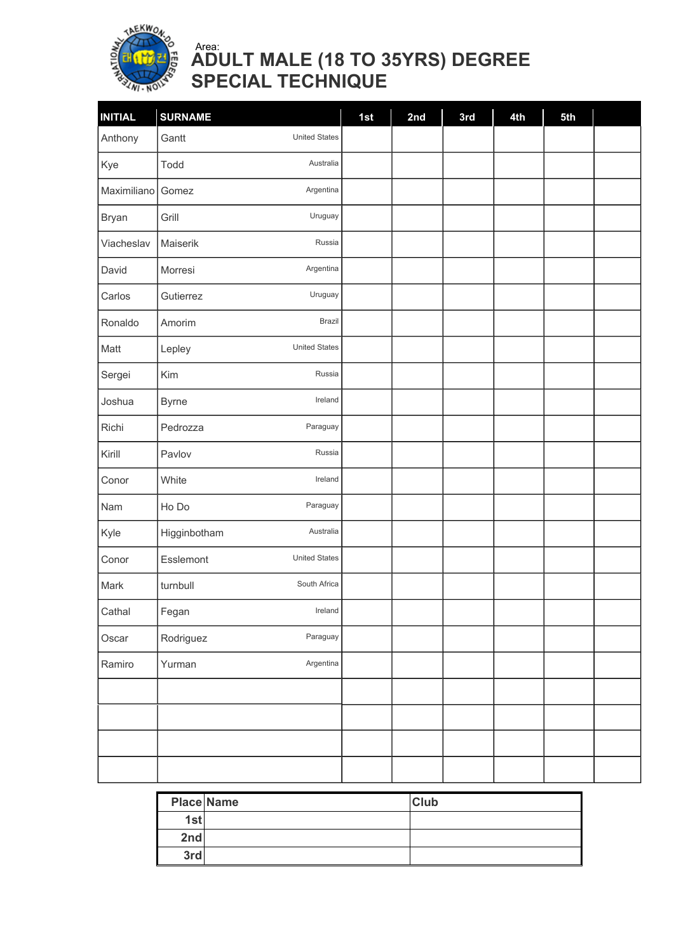

### ADULT MALE (18 TO 35YRS) DEGREE SPECIAL TECHNIQUE Area:

| <b>INITIAL</b> | <b>SURNAME</b>                    | 1st | 2nd | 3rd | 4th | 5th |  |
|----------------|-----------------------------------|-----|-----|-----|-----|-----|--|
| Anthony        | <b>United States</b><br>Gantt     |     |     |     |     |     |  |
| Kye            | Australia<br>Todd                 |     |     |     |     |     |  |
| Maximiliano    | Argentina<br>Gomez                |     |     |     |     |     |  |
| <b>Bryan</b>   | Grill<br>Uruguay                  |     |     |     |     |     |  |
| Viacheslav     | Russia<br>Maiserik                |     |     |     |     |     |  |
| David          | Argentina<br>Morresi              |     |     |     |     |     |  |
| Carlos         | Uruguay<br>Gutierrez              |     |     |     |     |     |  |
| Ronaldo        | <b>Brazil</b><br>Amorim           |     |     |     |     |     |  |
| Matt           | <b>United States</b><br>Lepley    |     |     |     |     |     |  |
| Sergei         | Kim<br>Russia                     |     |     |     |     |     |  |
| Joshua         | Ireland<br><b>Byrne</b>           |     |     |     |     |     |  |
| Richi          | Paraguay<br>Pedrozza              |     |     |     |     |     |  |
| Kirill         | Russia<br>Pavlov                  |     |     |     |     |     |  |
| Conor          | Ireland<br>White                  |     |     |     |     |     |  |
| Nam            | Paraguay<br>Ho Do                 |     |     |     |     |     |  |
| Kyle           | Australia<br>Higginbotham         |     |     |     |     |     |  |
| Conor          | <b>United States</b><br>Esslemont |     |     |     |     |     |  |
| Mark           | South Africa<br>turnbull          |     |     |     |     |     |  |
| Cathal         | Fegan<br>Ireland                  |     |     |     |     |     |  |
| Oscar          | Paraguay<br>Rodriguez             |     |     |     |     |     |  |
| Ramiro         | Argentina<br>Yurman               |     |     |     |     |     |  |
|                |                                   |     |     |     |     |     |  |
|                |                                   |     |     |     |     |     |  |
|                |                                   |     |     |     |     |     |  |
|                |                                   |     |     |     |     |     |  |

| <b>Place Name</b> | <b>Club</b> |
|-------------------|-------------|
| 1st               |             |
| 2nd               |             |
| 3rd               |             |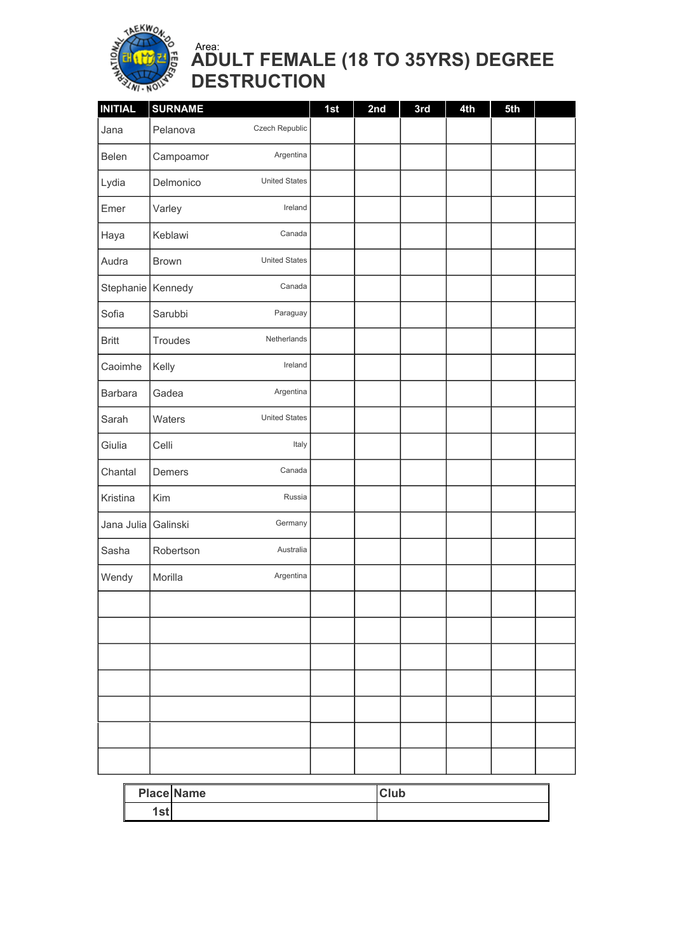

### ADULT FEMALE (18 TO 35YRS) DEGREE DESTRUCTION Area:

| <b>INITIAL</b>    | <b>SURNAME</b> |                      | 1st | 2nd | 3rd | 4th | 5th |  |
|-------------------|----------------|----------------------|-----|-----|-----|-----|-----|--|
| Jana              | Pelanova       | Czech Republic       |     |     |     |     |     |  |
| Belen             | Campoamor      | Argentina            |     |     |     |     |     |  |
| Lydia             | Delmonico      | <b>United States</b> |     |     |     |     |     |  |
| Emer              | Varley         | Ireland              |     |     |     |     |     |  |
| Haya              | Keblawi        | Canada               |     |     |     |     |     |  |
| Audra             | <b>Brown</b>   | <b>United States</b> |     |     |     |     |     |  |
| Stephanie Kennedy |                | Canada               |     |     |     |     |     |  |
| Sofia             | Sarubbi        | Paraguay             |     |     |     |     |     |  |
| <b>Britt</b>      | Troudes        | Netherlands          |     |     |     |     |     |  |
| Caoimhe           | Kelly          | Ireland              |     |     |     |     |     |  |
| <b>Barbara</b>    | Gadea          | Argentina            |     |     |     |     |     |  |
| Sarah             | Waters         | <b>United States</b> |     |     |     |     |     |  |
| Giulia            | Celli          | Italy                |     |     |     |     |     |  |
| Chantal           | Demers         | Canada               |     |     |     |     |     |  |
| Kristina          | Kim            | Russia               |     |     |     |     |     |  |
| Jana Julia        | Galinski       | Germany              |     |     |     |     |     |  |
| Sasha             | Robertson      | Australia            |     |     |     |     |     |  |
| Wendy             | Morilla        | Argentina            |     |     |     |     |     |  |
|                   |                |                      |     |     |     |     |     |  |
|                   |                |                      |     |     |     |     |     |  |
|                   |                |                      |     |     |     |     |     |  |
|                   |                |                      |     |     |     |     |     |  |
|                   |                |                      |     |     |     |     |     |  |
|                   |                |                      |     |     |     |     |     |  |
|                   |                |                      |     |     |     |     |     |  |
|                   |                |                      |     |     |     |     |     |  |

|             | <b>Place Name</b> | <b>Club</b> |
|-------------|-------------------|-------------|
| .et<br>ı əl |                   |             |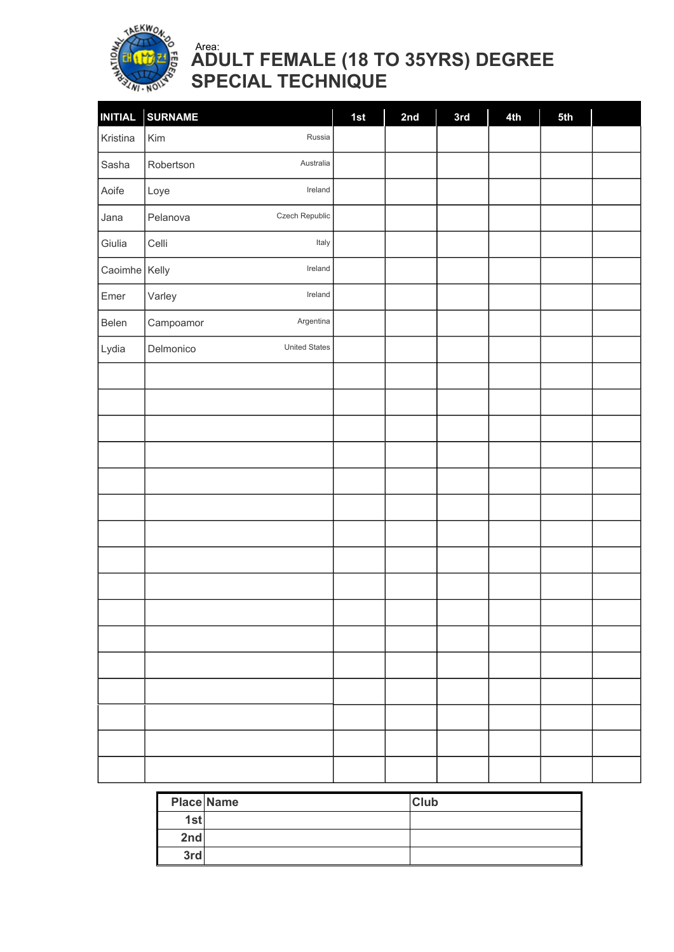

### ADULT FEMALE (18 TO 35YRS) DEGREE SPECIAL TECHNIQUE Area:

| <b>INITIAL</b> | <b>SURNAME</b>                    | 1st | 2nd | 3rd | 4th | 5th |  |
|----------------|-----------------------------------|-----|-----|-----|-----|-----|--|
| Kristina       | Kim<br>Russia                     |     |     |     |     |     |  |
| Sasha          | Australia<br>Robertson            |     |     |     |     |     |  |
| Aoife          | Ireland<br>Loye                   |     |     |     |     |     |  |
| Jana           | Czech Republic<br>Pelanova        |     |     |     |     |     |  |
| Giulia         | Italy<br>Celli                    |     |     |     |     |     |  |
| Caoimhe Kelly  | Ireland                           |     |     |     |     |     |  |
| Emer           | Ireland<br>Varley                 |     |     |     |     |     |  |
| Belen          | Argentina<br>Campoamor            |     |     |     |     |     |  |
| Lydia          | <b>United States</b><br>Delmonico |     |     |     |     |     |  |
|                |                                   |     |     |     |     |     |  |
|                |                                   |     |     |     |     |     |  |
|                |                                   |     |     |     |     |     |  |
|                |                                   |     |     |     |     |     |  |
|                |                                   |     |     |     |     |     |  |
|                |                                   |     |     |     |     |     |  |
|                |                                   |     |     |     |     |     |  |
|                |                                   |     |     |     |     |     |  |
|                |                                   |     |     |     |     |     |  |
|                |                                   |     |     |     |     |     |  |
|                |                                   |     |     |     |     |     |  |
|                |                                   |     |     |     |     |     |  |
|                |                                   |     |     |     |     |     |  |
|                |                                   |     |     |     |     |     |  |
|                |                                   |     |     |     |     |     |  |
|                |                                   |     |     |     |     |     |  |

| <b>Place Name</b> | <b>Club</b> |
|-------------------|-------------|
| 1st               |             |
| 2nd               |             |
| 3rd               |             |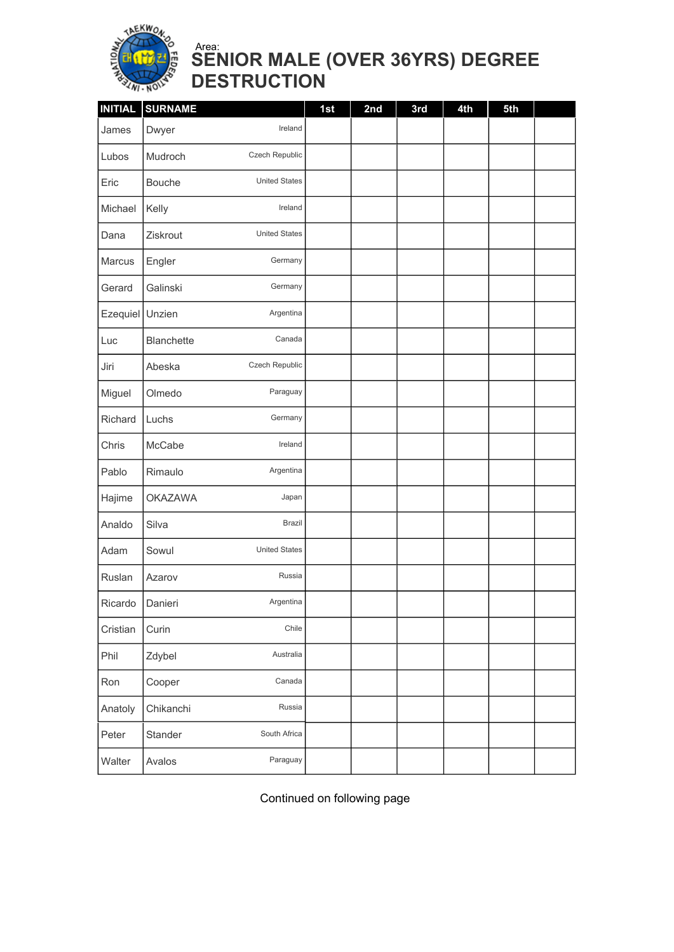

### SENIOR MALE (OVER 36YRS) DEGREE DESTRUCTION Area:

| <b>INITIAL</b>  | <b>SURNAME</b>    |                      | 1st | 2nd | 3rd | 4th | 5th |  |
|-----------------|-------------------|----------------------|-----|-----|-----|-----|-----|--|
| James           | Dwyer             | Ireland              |     |     |     |     |     |  |
| Lubos           | Mudroch           | Czech Republic       |     |     |     |     |     |  |
| Eric            | Bouche            | <b>United States</b> |     |     |     |     |     |  |
| Michael         | Kelly             | Ireland              |     |     |     |     |     |  |
| Dana            | Ziskrout          | <b>United States</b> |     |     |     |     |     |  |
| Marcus          | Engler            | Germany              |     |     |     |     |     |  |
| Gerard          | Galinski          | Germany              |     |     |     |     |     |  |
| Ezequiel Unzien |                   | Argentina            |     |     |     |     |     |  |
| Luc             | <b>Blanchette</b> | Canada               |     |     |     |     |     |  |
| Jiri            | Abeska            | Czech Republic       |     |     |     |     |     |  |
| Miguel          | Olmedo            | Paraguay             |     |     |     |     |     |  |
| Richard         | Luchs             | Germany              |     |     |     |     |     |  |
| Chris           | McCabe            | Ireland              |     |     |     |     |     |  |
| Pablo           | Rimaulo           | Argentina            |     |     |     |     |     |  |
| Hajime          | <b>OKAZAWA</b>    | Japan                |     |     |     |     |     |  |
| Analdo          | Silva             | <b>Brazil</b>        |     |     |     |     |     |  |
| Adam            | Sowul             | <b>United States</b> |     |     |     |     |     |  |
| Ruslan          | Azarov            | Russia               |     |     |     |     |     |  |
| Ricardo         | Danieri           | Argentina            |     |     |     |     |     |  |
| Cristian        | Curin             | Chile                |     |     |     |     |     |  |
| Phil            | Zdybel            | Australia            |     |     |     |     |     |  |
| Ron             | Cooper            | Canada               |     |     |     |     |     |  |
| Anatoly         | Chikanchi         | Russia               |     |     |     |     |     |  |
| Peter           | Stander           | South Africa         |     |     |     |     |     |  |
| Walter          | Avalos            | Paraguay             |     |     |     |     |     |  |

Continued on following page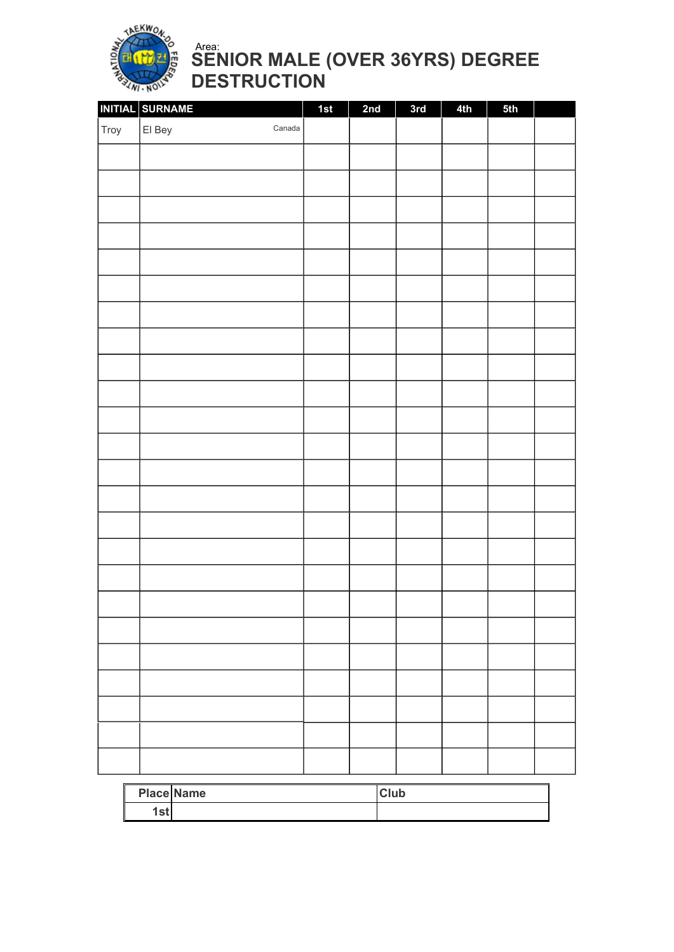

SENIOR MALE (OVER 36YRS) DEGREE DESTRUCTION Area:

|      | INITIAL SURNAME  | 1st | 2nd | 3rd | 4th | 5th |  |
|------|------------------|-----|-----|-----|-----|-----|--|
| Troy | El Bey<br>Canada |     |     |     |     |     |  |
|      |                  |     |     |     |     |     |  |
|      |                  |     |     |     |     |     |  |
|      |                  |     |     |     |     |     |  |
|      |                  |     |     |     |     |     |  |
|      |                  |     |     |     |     |     |  |
|      |                  |     |     |     |     |     |  |
|      |                  |     |     |     |     |     |  |
|      |                  |     |     |     |     |     |  |
|      |                  |     |     |     |     |     |  |
|      |                  |     |     |     |     |     |  |
|      |                  |     |     |     |     |     |  |
|      |                  |     |     |     |     |     |  |
|      |                  |     |     |     |     |     |  |
|      |                  |     |     |     |     |     |  |
|      |                  |     |     |     |     |     |  |
|      |                  |     |     |     |     |     |  |
|      |                  |     |     |     |     |     |  |
|      |                  |     |     |     |     |     |  |
|      |                  |     |     |     |     |     |  |
|      |                  |     |     |     |     |     |  |
|      |                  |     |     |     |     |     |  |
|      |                  |     |     |     |     |     |  |
|      |                  |     |     |     |     |     |  |
|      |                  |     |     |     |     |     |  |
|      |                  |     |     |     |     |     |  |

|             | <b>Place Name</b> | <b>Club</b> |
|-------------|-------------------|-------------|
| $e+$<br>ıəl |                   |             |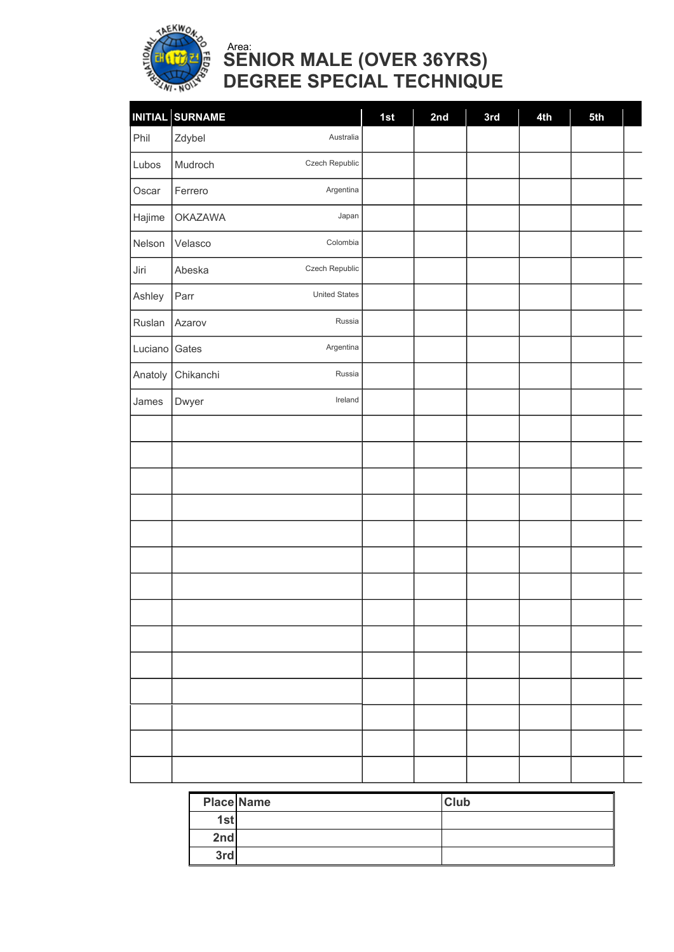

# SENIOR MALE (OVER 36YRS) DEGREE SPECIAL TECHNIQUE Area:

|         | INITIAL SURNAME              |           | 1st | 2nd | 3rd | 4th | 5th |  |
|---------|------------------------------|-----------|-----|-----|-----|-----|-----|--|
| Phil    | Zdybel                       | Australia |     |     |     |     |     |  |
| Lubos   | Czech Republic<br>Mudroch    |           |     |     |     |     |     |  |
| Oscar   | Argentina<br>Ferrero         |           |     |     |     |     |     |  |
| Hajime  | <b>OKAZAWA</b>               | Japan     |     |     |     |     |     |  |
| Nelson  | Colombia<br>Velasco          |           |     |     |     |     |     |  |
| Jiri    | Czech Republic<br>Abeska     |           |     |     |     |     |     |  |
| Ashley  | <b>United States</b><br>Parr |           |     |     |     |     |     |  |
| Ruslan  | Azarov                       | Russia    |     |     |     |     |     |  |
| Luciano | Argentina<br>Gates           |           |     |     |     |     |     |  |
| Anatoly | Chikanchi                    | Russia    |     |     |     |     |     |  |
| James   | Dwyer                        | Ireland   |     |     |     |     |     |  |
|         |                              |           |     |     |     |     |     |  |
|         |                              |           |     |     |     |     |     |  |
|         |                              |           |     |     |     |     |     |  |
|         |                              |           |     |     |     |     |     |  |
|         |                              |           |     |     |     |     |     |  |
|         |                              |           |     |     |     |     |     |  |
|         |                              |           |     |     |     |     |     |  |
|         |                              |           |     |     |     |     |     |  |
|         |                              |           |     |     |     |     |     |  |
|         |                              |           |     |     |     |     |     |  |
|         |                              |           |     |     |     |     |     |  |
|         |                              |           |     |     |     |     |     |  |
|         |                              |           |     |     |     |     |     |  |
|         |                              |           |     |     |     |     |     |  |

|     | <b>Place Name</b> | <b>Club</b> |
|-----|-------------------|-------------|
| 1st |                   |             |
| 2nd |                   |             |
| 3rd |                   |             |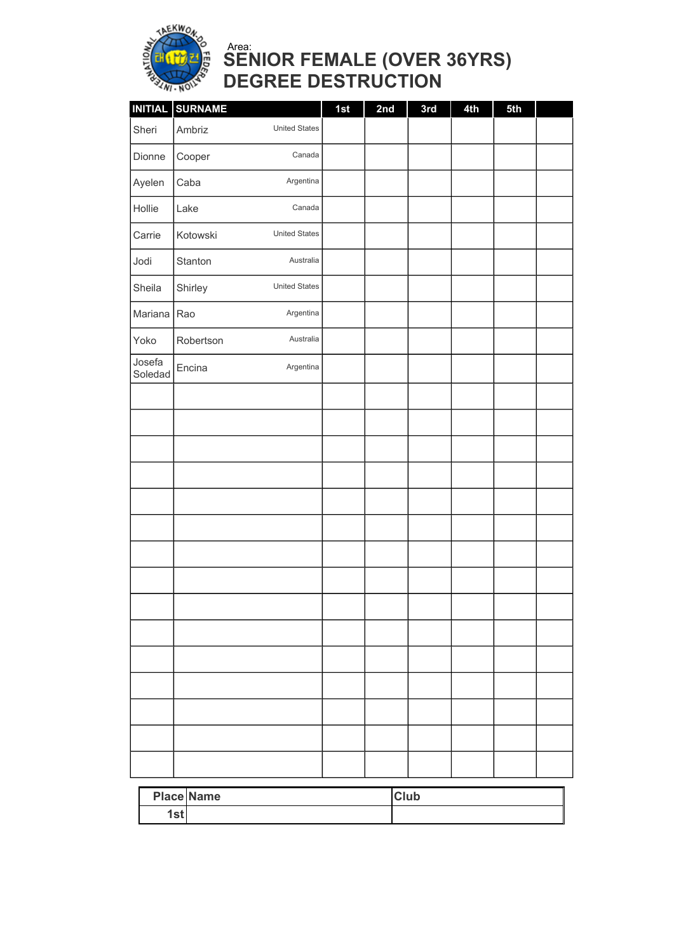

### SENIOR FEMALE (OVER 36YRS) DEGREE DESTRUCTION Area:

| INITIAL SURNAME | 1st                                                                                                                                                       | 2nd | 3rd | 4th | 5th |  |
|-----------------|-----------------------------------------------------------------------------------------------------------------------------------------------------------|-----|-----|-----|-----|--|
| Ambriz          |                                                                                                                                                           |     |     |     |     |  |
| Cooper          |                                                                                                                                                           |     |     |     |     |  |
| Caba            |                                                                                                                                                           |     |     |     |     |  |
| Lake            |                                                                                                                                                           |     |     |     |     |  |
| Kotowski        |                                                                                                                                                           |     |     |     |     |  |
| Stanton         |                                                                                                                                                           |     |     |     |     |  |
| Shirley         |                                                                                                                                                           |     |     |     |     |  |
| Mariana Rao     |                                                                                                                                                           |     |     |     |     |  |
| Robertson       |                                                                                                                                                           |     |     |     |     |  |
| Encina          |                                                                                                                                                           |     |     |     |     |  |
|                 |                                                                                                                                                           |     |     |     |     |  |
|                 |                                                                                                                                                           |     |     |     |     |  |
|                 |                                                                                                                                                           |     |     |     |     |  |
|                 |                                                                                                                                                           |     |     |     |     |  |
|                 |                                                                                                                                                           |     |     |     |     |  |
|                 |                                                                                                                                                           |     |     |     |     |  |
|                 |                                                                                                                                                           |     |     |     |     |  |
|                 |                                                                                                                                                           |     |     |     |     |  |
|                 |                                                                                                                                                           |     |     |     |     |  |
|                 |                                                                                                                                                           |     |     |     |     |  |
|                 |                                                                                                                                                           |     |     |     |     |  |
|                 |                                                                                                                                                           |     |     |     |     |  |
|                 |                                                                                                                                                           |     |     |     |     |  |
|                 |                                                                                                                                                           |     |     |     |     |  |
|                 |                                                                                                                                                           |     |     |     |     |  |
|                 | <b>United States</b><br>Canada<br>Argentina<br>Canada<br><b>United States</b><br>Australia<br><b>United States</b><br>Argentina<br>Australia<br>Argentina |     |     |     |     |  |

|     | <b>Place Name</b> | <b>Club</b> |
|-----|-------------------|-------------|
| 1st |                   |             |